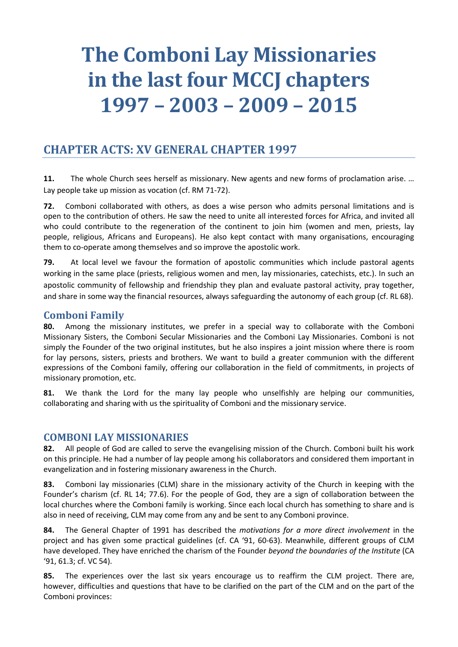# **The Comboni Lay Missionaries in the last four MCCJ chapters 1997 – 2003 – 2009 – 2015**

# **CHAPTER ACTS: XV GENERAL CHAPTER 1997**

**11.** The whole Church sees herself as missionary. New agents and new forms of proclamation arise. … Lay people take up mission as vocation (cf. RM 71-72).

**72.** Comboni collaborated with others, as does a wise person who admits personal limitations and is open to the contribution of others. He saw the need to unite all interested forces for Africa, and invited all who could contribute to the regeneration of the continent to join him (women and men, priests, lay people, religious, Africans and Europeans). He also kept contact with many organisations, encouraging them to co-operate among themselves and so improve the apostolic work.

**79.** At local level we favour the formation of apostolic communities which include pastoral agents working in the same place (priests, religious women and men, lay missionaries, catechists, etc.). In such an apostolic community of fellowship and friendship they plan and evaluate pastoral activity, pray together, and share in some way the financial resources, always safeguarding the autonomy of each group (cf. RL 68).

### **Comboni Family**

**80.** Among the missionary institutes, we prefer in a special way to collaborate with the Comboni Missionary Sisters, the Comboni Secular Missionaries and the Comboni Lay Missionaries. Comboni is not simply the Founder of the two original institutes, but he also inspires a joint mission where there is room for lay persons, sisters, priests and brothers. We want to build a greater communion with the different expressions of the Comboni family, offering our collaboration in the field of commitments, in projects of missionary promotion, etc.

**81.** We thank the Lord for the many lay people who unselfishly are helping our communities, collaborating and sharing with us the spirituality of Comboni and the missionary service.

#### **COMBONI LAY MISSIONARIES**

**82.** All people of God are called to serve the evangelising mission of the Church. Comboni built his work on this principle. He had a number of lay people among his collaborators and considered them important in evangelization and in fostering missionary awareness in the Church.

**83.** Comboni lay missionaries (CLM) share in the missionary activity of the Church in keeping with the Founder's charism (cf. RL 14; 77.6). For the people of God, they are a sign of collaboration between the local churches where the Comboni family is working. Since each local church has something to share and is also in need of receiving, CLM may come from any and be sent to any Comboni province.

**84.** The General Chapter of 1991 has described the *motivations for a more direct involvement* in the project and has given some practical guidelines (cf. CA '91, 60-63). Meanwhile, different groups of CLM have developed. They have enriched the charism of the Founder *beyond the boundaries of the Institute* (CA '91, 61.3; cf. VC 54).

**85.** The experiences over the last six years encourage us to reaffirm the CLM project. There are, however, difficulties and questions that have to be clarified on the part of the CLM and on the part of the Comboni provinces: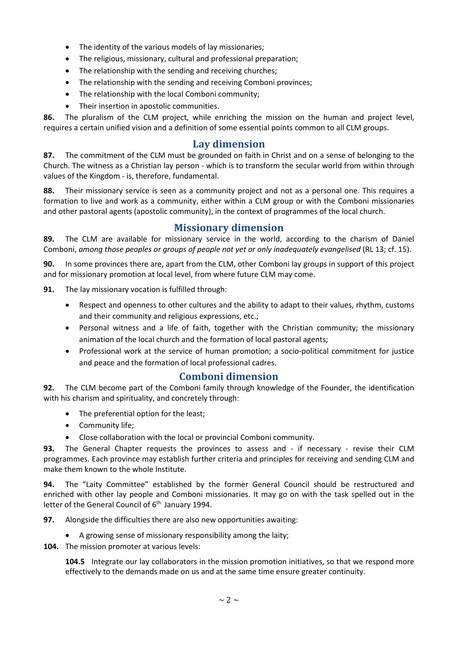- The identity of the various models of lay missionaries;
- The religious, missionary, cultural and professional preparation;
- The relationship with the sending and receiving churches;
- The relationship with the sending and receiving Comboni provinces;
- The relationship with the local Comboni community;
- Their insertion in apostolic communities.

**86.** The pluralism of the CLM project, while enriching the mission on the human and project level, requires a certain unified vision and a definition of some essential points common to all CLM groups.

#### **Lay dimension**

**87.** The commitment of the CLM must be grounded on faith in Christ and on a sense of belonging to the Church. The witness as a Christian lay person - which is to transform the secular world from within through values of the Kingdom - is, therefore, fundamental.

**88.** Their missionary service is seen as a community project and not as a personal one. This requires a formation to live and work as a community, either within a CLM group or with the Comboni missionaries and other pastoral agents (apostolic community), in the context of programmes of the local church.

#### **Missionary dimension**

**89.** The CLM are available for missionary service in the world, according to the charism of Daniel Comboni, *among those peoples or groups of people not yet or only inadequately evangelised* (RL 13; cf. 15).

**90.** In some provinces there are, apart from the CLM, other Comboni lay groups in support of this project and for missionary promotion at local level, from where future CLM may come.

**91.** The lay missionary vocation is fulfilled through:

- Respect and openness to other cultures and the ability to adapt to their values, rhythm, customs and their community and religious expressions, etc.;
- Personal witness and a life of faith, together with the Christian community; the missionary animation of the local church and the formation of local pastoral agents;
- Professional work at the service of human promotion; a socio-political commitment for justice and peace and the formation of local professional cadres.

#### **Comboni dimension**

**92.** The CLM become part of the Comboni family through knowledge of the Founder, the identification with his charism and spirituality, and concretely through:

- The preferential option for the least;
- Community life;
- Close collaboration with the local or provincial Comboni community.

**93.** The General Chapter requests the provinces to assess and - if necessary - revise their CLM programmes. Each province may establish further criteria and principles for receiving and sending CLM and make them known to the whole Institute.

**94.** The "Laity Committee" established by the former General Council should be restructured and enriched with other lay people and Comboni missionaries. It may go on with the task spelled out in the letter of the General Council of 6<sup>th.</sup> January 1994.

**97.** Alongside the difficulties there are also new opportunities awaiting:

- A growing sense of missionary responsibility among the laity;
- **104.** The mission promoter at various levels:

**104.5** Integrate our lay collaborators in the mission promotion initiatives, so that we respond more effectively to the demands made on us and at the same time ensure greater continuity.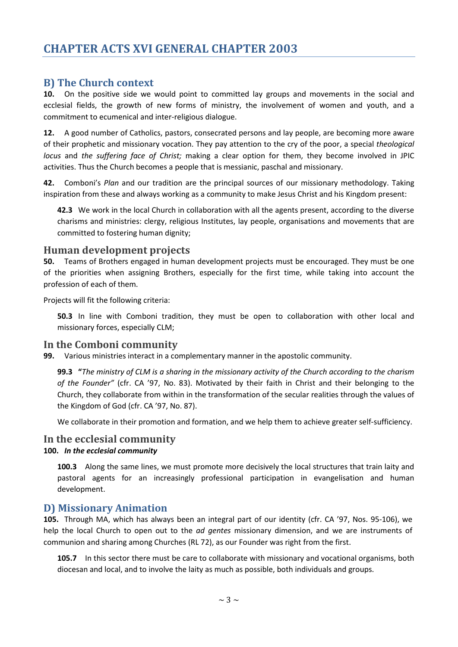#### **B) The Church context**

**10.** On the positive side we would point to committed lay groups and movements in the social and ecclesial fields, the growth of new forms of ministry, the involvement of women and youth, and a commitment to ecumenical and inter-religious dialogue.

**12.** A good number of Catholics, pastors, consecrated persons and lay people, are becoming more aware of their prophetic and missionary vocation. They pay attention to the cry of the poor, a special *theological locus* and *the suffering face of Christ;* making a clear option for them, they become involved in JPIC activities. Thus the Church becomes a people that is messianic, paschal and missionary.

**42.** Comboni's *Plan* and our tradition are the principal sources of our missionary methodology. Taking inspiration from these and always working as a community to make Jesus Christ and his Kingdom present:

**42.3** We work in the local Church in collaboration with all the agents present, according to the diverse charisms and ministries: clergy, religious Institutes, lay people, organisations and movements that are committed to fostering human dignity;

### **Human development projects**

**50.** Teams of Brothers engaged in human development projects must be encouraged. They must be one of the priorities when assigning Brothers, especially for the first time, while taking into account the profession of each of them.

Projects will fit the following criteria:

**50.3** In line with Comboni tradition, they must be open to collaboration with other local and missionary forces, especially CLM;

#### **In the Comboni community**

**99.** Various ministries interact in a complementary manner in the apostolic community.

**99.3 "***The ministry of CLM is a sharing in the missionary activity of the Church according to the charism of the Founder"* (cfr. CA '97, No. 83). Motivated by their faith in Christ and their belonging to the Church, they collaborate from within in the transformation of the secular realities through the values of the Kingdom of God (cfr. CA '97, No. 87).

We collaborate in their promotion and formation, and we help them to achieve greater self-sufficiency.

#### **In the ecclesial community**

#### **100.** *In the ecclesial community*

**100.3** Along the same lines, we must promote more decisively the local structures that train laity and pastoral agents for an increasingly professional participation in evangelisation and human development.

#### **D) Missionary Animation**

**105.** Through MA, which has always been an integral part of our identity (cfr. CA '97, Nos. 95-106), we help the local Church to open out to the *ad gentes* missionary dimension, and we are instruments of communion and sharing among Churches (RL 72), as our Founder was right from the first.

**105.7** In this sector there must be care to collaborate with missionary and vocational organisms, both diocesan and local, and to involve the laity as much as possible, both individuals and groups.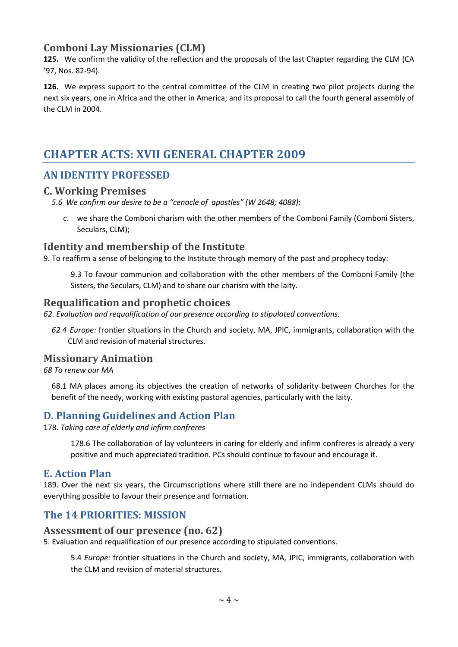# **Comboni Lay Missionaries (CLM)**

**125.** We confirm the validity of the reflection and the proposals of the last Chapter regarding the CLM (CA '97, Nos. 82-94).

**126.** We express support to the central committee of the CLM in creating two pilot projects during the next six years, one in Africa and the other in America; and its proposal to call the fourth general assembly of the CLM in 2004.

# **CHAPTER ACTS: XVII GENERAL CHAPTER 2009**

## **AN IDENTITY PROFESSED**

#### **C. Working Premises**

*5.6 We confirm our desire to be a "cenacle of apostles" (W 2648; 4088)*:

c. we share the Comboni charism with the other members of the Comboni Family (Comboni Sisters, Seculars, CLM);

### **Identity and membership of the Institute**

9. To reaffirm a sense of belonging to the Institute through memory of the past and prophecy today:

9.3 To favour communion and collaboration with the other members of the Comboni Family (the Sisters, the Seculars, CLM) and to share our charism with the laity.

### **Requalification and prophetic choices**

*62. Evaluation and requalification of our presence according to stipulated conventions.*

*62.4 Europe:* frontier situations in the Church and society, MA, JPIC, immigrants, collaboration with the CLM and revision of material structures.

#### **Missionary Animation**

*68 To renew our MA*

68.1 MA places among its objectives the creation of networks of solidarity between Churches for the benefit of the needy, working with existing pastoral agencies, particularly with the laity.

## **D. Planning Guidelines and Action Plan**

178. *Taking care of elderly and infirm confreres*

178.6 The collaboration of lay volunteers in caring for elderly and infirm confreres is already a very positive and much appreciated tradition. PCs should continue to favour and encourage it.

#### **E. Action Plan**

189. Over the next six years, the Circumscriptions where still there are no independent CLMs should do everything possible to favour their presence and formation.

## **The 14 PRIORITIES: MISSION**

#### **Assessment of our presence (no. 62)**

5. Evaluation and requalification of our presence according to stipulated conventions.

5.4 *Europe:* frontier situations in the Church and society, MA, JPIC, immigrants, collaboration with the CLM and revision of material structures.